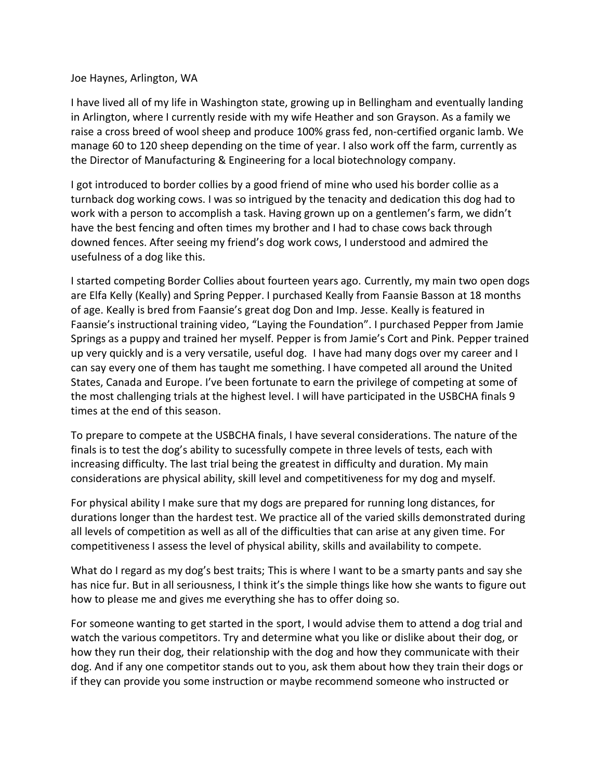## Joe Haynes, Arlington, WA

I have lived all of my life in Washington state, growing up in Bellingham and eventually landing in Arlington, where I currently reside with my wife Heather and son Grayson. As a family we raise a cross breed of wool sheep and produce 100% grass fed, non-certified organic lamb. We manage 60 to 120 sheep depending on the time of year. I also work off the farm, currently as the Director of Manufacturing & Engineering for a local biotechnology company.

I got introduced to border collies by a good friend of mine who used his border collie as a turnback dog working cows. I was so intrigued by the tenacity and dedication this dog had to work with a person to accomplish a task. Having grown up on a gentlemen's farm, we didn't have the best fencing and often times my brother and I had to chase cows back through downed fences. After seeing my friend's dog work cows, I understood and admired the usefulness of a dog like this.

I started competing Border Collies about fourteen years ago. Currently, my main two open dogs are Elfa Kelly (Keally) and Spring Pepper. I purchased Keally from Faansie Basson at 18 months of age. Keally is bred from Faansie's great dog Don and Imp. Jesse. Keally is featured in Faansie's instructional training video, "Laying the Foundation". I purchased Pepper from Jamie Springs as a puppy and trained her myself. Pepper is from Jamie's Cort and Pink. Pepper trained up very quickly and is a very versatile, useful dog. I have had many dogs over my career and I can say every one of them has taught me something. I have competed all around the United States, Canada and Europe. I've been fortunate to earn the privilege of competing at some of the most challenging trials at the highest level. I will have participated in the USBCHA finals 9 times at the end of this season.

To prepare to compete at the USBCHA finals, I have several considerations. The nature of the finals is to test the dog's ability to sucessfully compete in three levels of tests, each with increasing difficulty. The last trial being the greatest in difficulty and duration. My main considerations are physical ability, skill level and competitiveness for my dog and myself.

For physical ability I make sure that my dogs are prepared for running long distances, for durations longer than the hardest test. We practice all of the varied skills demonstrated during all levels of competition as well as all of the difficulties that can arise at any given time. For competitiveness I assess the level of physical ability, skills and availability to compete.

What do I regard as my dog's best traits; This is where I want to be a smarty pants and say she has nice fur. But in all seriousness, I think it's the simple things like how she wants to figure out how to please me and gives me everything she has to offer doing so.

For someone wanting to get started in the sport, I would advise them to attend a dog trial and watch the various competitors. Try and determine what you like or dislike about their dog, or how they run their dog, their relationship with the dog and how they communicate with their dog. And if any one competitor stands out to you, ask them about how they train their dogs or if they can provide you some instruction or maybe recommend someone who instructed or